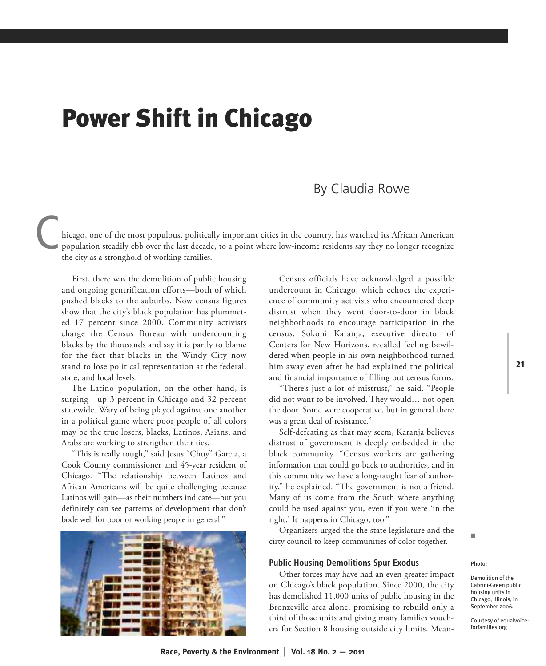## **Power Shift in Chicago**

## By Claudia Rowe

hicago, one of the most populous, politically important cities in the country, has watched its African American population steadily ebb over the last decade, to a point where low-income residents say they no longer recognize the city as a stronghold of working families. the city as a stronghold of working families.

First, there was the demolition of public housing and ongoing gentrification efforts—both of which pushed blacks to the suburbs. Now census figures show that the city's black population has plummeted 17 percent since 2000. Community activists charge the Census Bureau with undercounting blacks by the thousands and say it is partly to blame for the fact that blacks in the Windy City now stand to lose political representation at the federal, state, and local levels.

The Latino population, on the other hand, is surging—up 3 percent in Chicago and 32 percent statewide. Wary of being played against one another in a political game where poor people of all colors may be the true losers, blacks, Latinos, Asians, and Arabs are working to strengthen their ties.

"This is really tough," said Jesus "Chuy" Garcia, a Cook County commissioner and 45-year resident of Chicago. "The relationship between Latinos and African Americans will be quite challenging because Latinos will gain—as their numbers indicate—but you definitely can see patterns of development that don't bode well for poor or working people in general."



Census officials have acknowledged a possible undercount in Chicago, which echoes the experience of community activists who encountered deep distrust when they went door-to-door in black neighborhoods to encourage participation in the census. Sokoni Karanja, executive director of Centers for New Horizons, recalled feeling bewildered when people in his own neighborhood turned him away even after he had explained the political and financial importance of filling out census forms.

"There's just a lot of mistrust," he said. "People did not want to be involved. They would… not open the door. Some were cooperative, but in general there was a great deal of resistance."

Self-defeating as that may seem, Karanja believes distrust of government is deeply embedded in the black community. "Census workers are gathering information that could go back to authorities, and in this community we have a long-taught fear of authority," he explained. "The government is not a friend. Many of us come from the South where anything could be used against you, even if you were 'in the right.' It happens in Chicago, too."

Organizers urged the the state legislature and the cirty council to keep communities of color together.

## **Public Housing Demolitions Spur Exodus**

Other forces may have had an even greater impact on Chicago's black population. Since 2000, the city has demolished 11,000 units of public housing in the Bronzeville area alone, promising to rebuild only a third of those units and giving many families vouchers for Section 8 housing outside city limits. MeanPhoto:

n

Demolition of the Cabrini-Green public housing units in Chicago, Illinois, in September 2006.

Courtesy of equalvoiceforfamilies.org